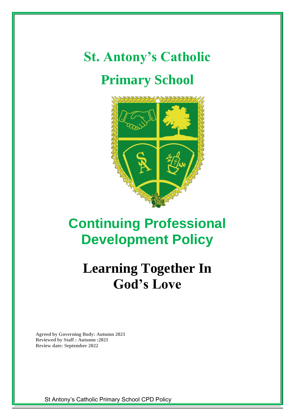# **St. Antony's Catholic Primary School**



# **Continuing Professional Development Policy**

# **Learning Together In God's Love**

**Agreed by Governing Body: Autumn 2021 Reviewed by Staff : Autumn :2021 Review date: September 2022**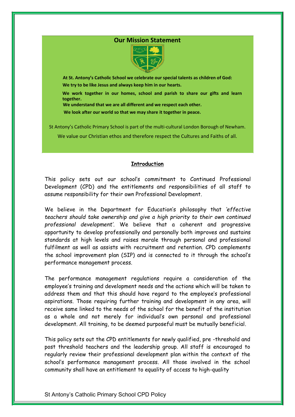# **Our Mission Statement**



**At St. Antony's Catholic School we celebrate our special talents as children of God:**

 **We try to be like Jesus and always keep him in our hearts.**

**We work together in our homes, school and parish to share our gifts and learn together.**

**We understand that we are all different and we respect each other.**

 **We look after our world so that we may share it together in peace.**

St Antony's Catholic Primary School is part of the multi-cultural London Borough of Newham.

We value our Christian ethos and therefore respect the Cultures and Faiths of all.

#### **Introduction**

This policy sets out our school's commitment to Continued Professional Development (CPD) and the entitlements and responsibilities of all staff to assume responsibility for their own Professional Development.

We believe in the Department for Education's philosophy that *'effective teachers should take ownership and give a high priority to their own continued professional development'*. We believe that a coherent and progressive opportunity to develop professionally and personally both improves and sustains standards at high levels and raises morale through personal and professional fulfilment as well as assists with recruitment and retention. CPD complements the school improvement plan (SIP) and is connected to it through the school's performance management process.

The performance management regulations require a consideration of the employee's training and development needs and the actions which will be taken to address them and that this should have regard to the employee's professional aspirations. Those requiring further training and development in any area, will receive same linked to the needs of the school for the benefit of the institution as a whole and not merely for individual's own personal and professional development. All training, to be deemed purposeful must be mutually beneficial.

This policy sets out the CPD entitlements for newly qualified, pre -threshold and post threshold teachers and the leadership group. All staff is encouraged to regularly review their professional development plan within the context of the school's performance management process. All those involved in the school community shall have an entitlement to equality of access to high-quality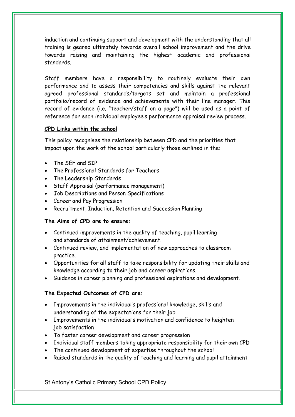induction and continuing support and development with the understanding that all training is geared ultimately towards overall school improvement and the drive towards raising and maintaining the highest academic and professional standards.

Staff members have a responsibility to routinely evaluate their own performance and to assess their competencies and skills against the relevant agreed professional standards/targets set and maintain a professional portfolio/record of evidence and achievements with their line manager. This record of evidence (i.e. "teacher/staff on a page") will be used as a point of reference for each individual employee's performance appraisal review process.

#### **CPD Links within the school**

This policy recognises the relationship between CPD and the priorities that impact upon the work of the school particularly those outlined in the:

- The SEF and SIP
- The Professional Standards for Teachers
- The Leadership Standards
- Staff Appraisal (performance management)
- Job Descriptions and Person Specifications
- Career and Pay Progression
- Recruitment, Induction, Retention and Succession Planning

# **The Aims of CPD are to ensure:**

- Continued improvements in the quality of teaching, pupil learning and standards of attainment/achievement.
- Continued review, and implementation of new approaches to classroom practice.
- Opportunities for all staff to take responsibility for updating their skills and knowledge according to their job and career aspirations.
- Guidance in career planning and professional aspirations and development.

# **The Expected Outcomes of CPD are:**

- Improvements in the individual's professional knowledge, skills and understanding of the expectations for their job
- Improvements in the individual's motivation and confidence to heighten job satisfaction
- To foster career development and career progression
- Individual staff members taking appropriate responsibility for their own CPD
- The continued development of expertise throughout the school
- Raised standards in the quality of teaching and learning and pupil attainment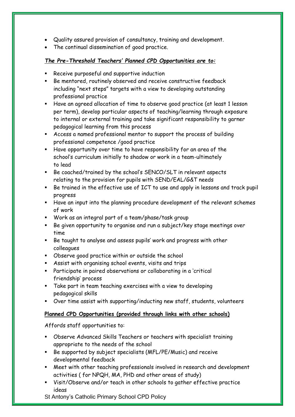- Quality assured provision of consultancy, training and development.
- The continual dissemination of good practice.

# *The Pre-Threshold Teachers' Planned CPD Opportunities are to:*

- Receive purposeful and supportive induction
- Be mentored, routinely observed and receive constructive feedback including "next steps" targets with a view to developing outstanding professional practice
- Have an agreed allocation of time to observe good practice (at least 1 lesson per term), develop particular aspects of teaching/learning through exposure to internal or external training and take significant responsibility to garner pedagogical learning from this process
- Access a named professional mentor to support the process of building professional competence /good practice
- Have opportunity over time to have responsibility for an area of the school's curriculum initially to shadow or work in a team-ultimately to lead
- Be coached/trained by the school's SENCO/SLT in relevant aspects relating to the provision for pupils with SEND/EAL/G&T needs
- Be trained in the effective use of ICT to use and apply in lessons and track pupil progress
- Have an input into the planning procedure development of the relevant schemes of work
- Work as an integral part of a team/phase/task group
- Be given opportunity to organise and run a subject/key stage meetings over time
- Be taught to analyse and assess pupils' work and progress with other colleagues
- Observe good practice within or outside the school
- Assist with organising school events, visits and trips
- Participate in paired observations or collaborating in a 'critical friendship' process
- Take part in team teaching exercises with a view to developing pedagogical skills
- Over time assist with supporting/inducting new staff, students, volunteers

# **Planned CPD Opportunities (provided through links with other schools)**

Affords staff opportunities to:

- Observe Advanced Skills Teachers or teachers with specialist training appropriate to the needs of the school
- Be supported by subject specialists (MFL/PE/Music) and receive developmental feedback
- Meet with other teaching professionals involved in research and development activities ( for NPQH, MA, PHD and other areas of study)
- Visit/Observe and/or teach in other schools to gather effective practice ideas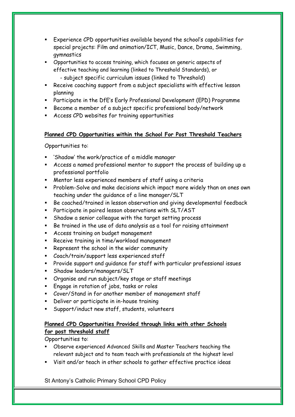- Experience CPD opportunities available beyond the school's capabilities for special projects: Film and animation/ICT, Music, Dance, Drama, Swimming, gymnastics
- Opportunities to access training, which focuses on generic aspects of effective teaching and learning (linked to Threshold Standards), or - subject specific curriculum issues (linked to Threshold)
- Receive coaching support from a subject specialists with effective lesson planning
- Participate in the DfE's Early Professional Development (EPD) Programme
- Become a member of a subject specific professional body/network
- Access CPD websites for training opportunities

# **Planned CPD Opportunities within the School For Post Threshold Teachers**

Opportunities to:

- 'Shadow' the work/practice of a middle manager
- Access a named professional mentor to support the process of building up a professional portfolio
- Mentor less experienced members of staff using a criteria
- Problem-Solve and make decisions which impact more widely than on ones own teaching under the guidance of a line manager/SLT
- Be coached/trained in lesson observation and giving developmental feedback
- Participate in paired lesson observations with SLT/AST
- Shadow a senior colleague with the target setting process
- Be trained in the use of data analysis as a tool for raising attainment
- Access training on budget management
- Receive training in time/workload management
- Represent the school in the wider community
- Coach/train/support less experienced staff
- Provide support and guidance for staff with particular professional issues
- Shadow leaders/managers/SLT
- Organise and run subject/key stage or staff meetings
- Engage in rotation of jobs, tasks or roles
- Cover/Stand in for another member of management staff
- **EXEC** Deliver or participate in in-house training
- Support/induct new staff, students, volunteers

# **Planned CPD Opportunities Provided through links with other Schools for post threshold staff**

Opportunities to:

- Observe experienced Advanced Skills and Master Teachers teaching the relevant subject and to team teach with professionals at the highest level
- Visit and/or teach in other schools to gather effective practice ideas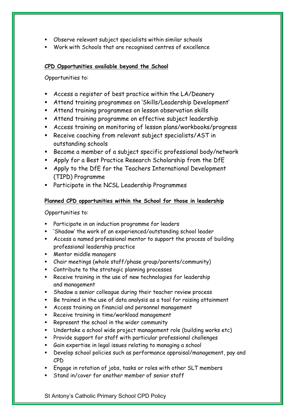- Observe relevant subject specialists within similar schools
- Work with Schools that are recognised centres of excellence

# **CPD Opportunities available beyond the School**

Opportunities to:

- Access a register of best practice within the LA/Deanery
- Attend training programmes on 'Skills/Leadership Development'
- Attend training programmes on lesson observation skills
- Attend training programme on effective subject leadership
- Access training on monitoring of lesson plans/workbooks/progress
- Receive coaching from relevant subject specialists/AST in outstanding schools
- Become a member of a subject specific professional body/network
- Apply for a Best Practice Research Scholarship from the DfE
- Apply to the DfE for the Teachers International Development (TIPD) Programme
- Participate in the NCSL Leadership Programmes

# **Planned CPD opportunities within the School for those in leadership**

Opportunities to:

- Participate in an induction programme for leaders
- 'Shadow' the work of an experienced/outstanding school leader
- Access a named professional mentor to support the process of building professional leadership practice
- Mentor middle managers
- Chair meetings (whole staff/phase group/parents/community)
- Contribute to the strategic planning processes
- Receive training in the use of new technologies for leadership and management
- Shadow a senior colleague during their teacher review process
- Be trained in the use of data analysis as a tool for raising attainment
- Access training on financial and personnel management
- Receive training in time/workload management
- Represent the school in the wider community
- Undertake a school wide project management role (building works etc)
- Provide support for staff with particular professional challenges
- Gain expertise in legal issues relating to managing a school
- Develop school policies such as performance appraisal/management, pay and CPD
- Engage in rotation of jobs, tasks or roles with other SLT members
- Stand in/cover for another member of senior staff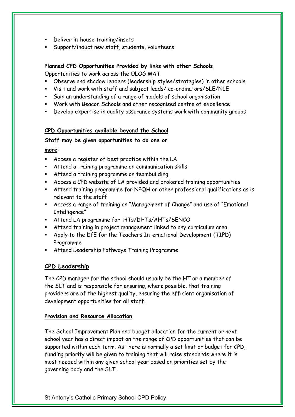- Deliver in-house training/insets
- Support/induct new staff, students, volunteers

#### **Planned CPD Opportunities Provided by links with other Schools**

Opportunities to work across the OLOG MAT:

- Observe and shadow leaders (leadership styles/strategies) in other schools
- Visit and work with staff and subject leads/ co-ordinators/SLE/NLE
- Gain an understanding of a range of models of school organisation
- Work with Beacon Schools and other recognised centre of excellence
- Develop expertise in quality assurance systems work with community groups

#### **CPD Opportunities available beyond the School**

#### **Staff may be given opportunities to do one or**

**more**:

- Access a register of best practice within the LA
- Attend a training programme on communication skills
- Attend a training programme on teambuilding
- Access a CPD website of LA provided and brokered training opportunities
- Attend training programme for NPQH or other professional qualifications as is relevant to the staff
- Access a range of training on "Management of Change" and use of "Emotional Intelligence"
- Attend LA programme for HTs/DHTs/AHTs/SENCO
- **EXECT** Attend training in project management linked to any curriculum area
- Apply to the DfE for the Teachers International Development (TIPD) Programme
- Attend Leadership Pathways Training Programme

# **CPD Leadership**

The CPD manager for the school should usually be the HT or a member of the SLT and is responsible for ensuring, where possible, that training providers are of the highest quality, ensuring the efficient organisation of development opportunities for all staff.

# **Provision and Resource Allocation**

The School Improvement Plan and budget allocation for the current or next school year has a direct impact on the range of CPD opportunities that can be supported within each term. As there is normally a set limit or budget for CPD, funding priority will be given to training that will raise standards where it is most needed within any given school year based on priorities set by the governing body and the SLT.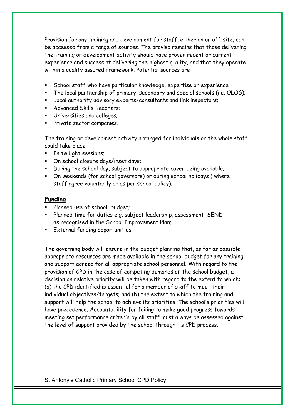Provision for any training and development for staff, either on or off-site, can be accessed from a range of sources. The proviso remains that those delivering the training or development activity should have proven recent or current experience and success at delivering the highest quality, and that they operate within a quality assured framework. Potential sources are:

- School staff who have particular knowledge, expertise or experience
- The local partnership of primary, secondary and special schools (i.e. OLOG);
- Local authority advisory experts/consultants and link inspectors;
- Advanced Skills Teachers;
- Universities and colleges;
- Private sector companies.

The training or development activity arranged for individuals or the whole staff could take place:

- In twilight sessions;
- On school closure days/inset days;
- During the school day, subject to appropriate cover being available;
- On weekends (for school governors) or during school holidays ( where staff agree voluntarily or as per school policy).

# **Funding**

- Planned use of school budget;
- Planned time for duties e.g. subject leadership, assessment, SEND as recognised in the School Improvement Plan;
- External funding opportunities.

The governing body will ensure in the budget planning that, as far as possible, appropriate resources are made available in the school budget for any training and support agreed for all appropriate school personnel. With regard to the provision of CPD in the case of competing demands on the school budget, a decision on relative priority will be taken with regard to the extent to which: (a) the CPD identified is essential for a member of staff to meet their individual objectives/targets; and (b) the extent to which the training and support will help the school to achieve its priorities. The school's priorities will have precedence. Accountability for failing to make good progress towards meeting set performance criteria by all staff must always be assessed against the level of support provided by the school through its CPD process.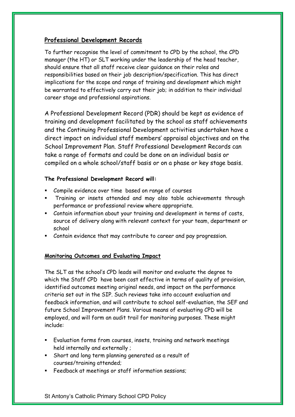# **Professional Development Records**

To further recognise the level of commitment to CPD by the school, the CPD manager (the HT) or SLT working under the leadership of the head teacher, should ensure that all staff receive clear guidance on their roles and responsibilities based on their job description/specification. This has direct implications for the scope and range of training and development which might be warranted to effectively carry out their job; in addition to their individual career stage and professional aspirations.

A Professional Development Record (PDR) should be kept as evidence of training and development facilitated by the school as staff achievements and the Continuing Professional Development activities undertaken have a direct impact on individual staff members' appraisal objectives and on the School Improvement Plan. Staff Professional Development Records can take a range of formats and could be done on an individual basis or compiled on a whole school/staff basis or on a phase or key stage basis.

# **The Professional Development Record will:**

- Compile evidence over time based on range of courses
- Training or insets attended and may also table achievements through performance or professional review where appropriate.
- Contain information about your training and development in terms of costs, source of delivery along with relevant context for your team, department or school
- Contain evidence that may contribute to career and pay progression.

# **Monitoring Outcomes and Evaluating Impact**

The SLT as the school's CPD leads will monitor and evaluate the degree to which the Staff CPD have been cost effective in terms of quality of provision, identified outcomes meeting original needs, and impact on the performance criteria set out in the SIP. Such reviews take into account evaluation and feedback information, and will contribute to school self-evaluation, the SEF and future School Improvement Plans. Various means of evaluating CPD will be employed, and will form an audit trail for monitoring purposes. These might include:

- Evaluation forms from courses, insets, training and network meetings held internally and externally ;
- Short and long term planning generated as a result of courses/training attended;
- Feedback at meetings or staff information sessions;